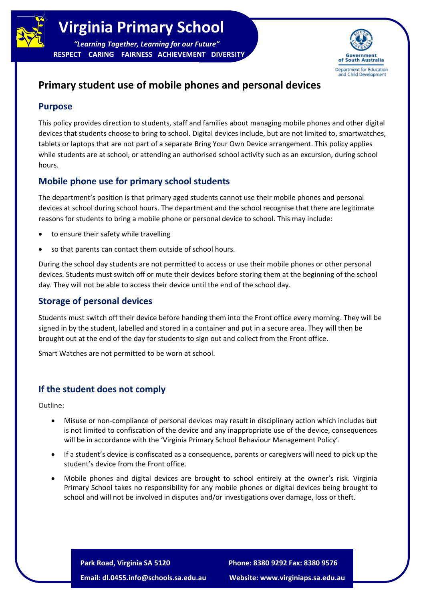

**RESPECT CARING FAIRNESS ACHIEVEMENT DIVERSITY**



## **Primary student use of mobile phones and personal devices**

## **Purpose**

This policy provides direction to students, staff and families about managing mobile phones and other digital devices that students choose to bring to school. Digital devices include, but are not limited to, smartwatches, tablets or laptops that are not part of a separate Bring Your Own Device arrangement. This policy applies while students are at school, or attending an authorised school activity such as an excursion, during school hours.

## **Mobile phone use for primary school students**

The department's position is that primary aged students cannot use their mobile phones and personal devices at school during school hours. The department and the school recognise that there are legitimate reasons for students to bring a mobile phone or personal device to school. This may include:

- to ensure their safety while travelling
- so that parents can contact them outside of school hours.

During the school day students are not permitted to access or use their mobile phones or other personal devices. Students must switch off or mute their devices before storing them at the beginning of the school day. They will not be able to access their device until the end of the school day.

## **Storage of personal devices**

Students must switch off their device before handing them into the Front office every morning. They will be signed in by the student, labelled and stored in a container and put in a secure area. They will then be brought out at the end of the day for students to sign out and collect from the Front office.

Smart Watches are not permitted to be worn at school.

## **If the student does not comply**

Outline:

- Misuse or non-compliance of personal devices may result in disciplinary action which includes but is not limited to confiscation of the device and any inappropriate use of the device, consequences will be in accordance with the 'Virginia Primary School Behaviour Management Policy'.
- If a student's device is confiscated as a consequence, parents or caregivers will need to pick up the student's device from the Front office.
- Mobile phones and digital devices are brought to school entirely at the owner's risk. Virginia Primary School takes no responsibility for any mobile phones or digital devices being brought to school and will not be involved in disputes and/or investigations over damage, loss or theft.

**Park Road, Virginia SA 5120 Phone: 8380 9292 Fax: 8380 9576**

**Email: dl.0455.info@schools.sa.edu.au Website: www.virginiaps.sa.edu.au**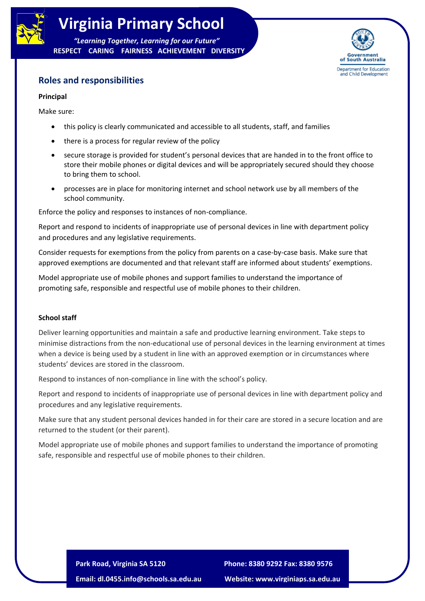

# **Virginia Primary School**

*"Learning Together, Learning for our Future"* **RESPECT CARING FAIRNESS ACHIEVEMENT DIVERSITY**



## **Roles and responsibilities**

#### **Principal**

Make sure:

- this policy is clearly communicated and accessible to all students, staff, and families
- there is a process for regular review of the policy
- secure storage is provided for student's personal devices that are handed in to the front office to store their mobile phones or digital devices and will be appropriately secured should they choose to bring them to school.
- processes are in place for monitoring internet and school network use by all members of the school community.

Enforce the policy and responses to instances of non-compliance.

Report and respond to incidents of inappropriate use of personal devices in line with department policy and procedures and any legislative requirements.

Consider requests for exemptions from the policy from parents on a case-by-case basis. Make sure that approved exemptions are documented and that relevant staff are informed about students' exemptions.

Model appropriate use of mobile phones and support families to understand the importance of promoting safe, responsible and respectful use of mobile phones to their children.

#### **School staff**

Deliver learning opportunities and maintain a safe and productive learning environment. Take steps to minimise distractions from the non-educational use of personal devices in the learning environment at times when a device is being used by a student in line with an approved exemption or in circumstances where students' devices are stored in the classroom.

Respond to instances of non-compliance in line with the school's policy.

Report and respond to incidents of inappropriate use of personal devices in line with department policy and procedures and any legislative requirements.

Make sure that any student personal devices handed in for their care are stored in a secure location and are returned to the student (or their parent).

Model appropriate use of mobile phones and support families to understand the importance of promoting safe, responsible and respectful use of mobile phones to their children.

> **Park Road, Virginia SA 5120 Phone: 8380 9292 Fax: 8380 9576 Email: dl.0455.info@schools.sa.edu.au Website: www.virginiaps.sa.edu.au**